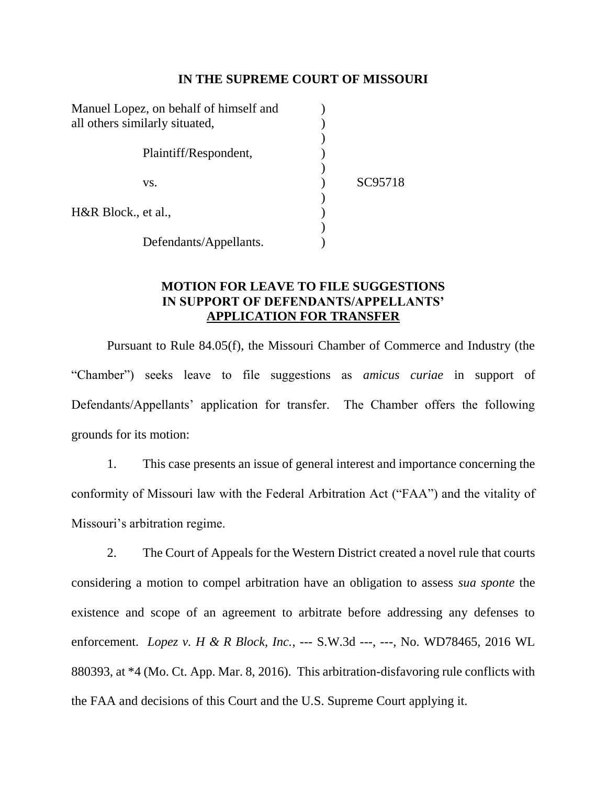## **IN THE SUPREME COURT OF MISSOURI**

| Manuel Lopez, on behalf of himself and |                        |         |
|----------------------------------------|------------------------|---------|
| all others similarly situated,         |                        |         |
|                                        |                        |         |
|                                        | Plaintiff/Respondent,  |         |
|                                        |                        |         |
|                                        | VS.                    | SC95718 |
|                                        |                        |         |
| H&R Block., et al.,                    |                        |         |
|                                        |                        |         |
|                                        | Defendants/Appellants. |         |

## **MOTION FOR LEAVE TO FILE SUGGESTIONS IN SUPPORT OF DEFENDANTS/APPELLANTS' APPLICATION FOR TRANSFER**

Pursuant to Rule 84.05(f), the Missouri Chamber of Commerce and Industry (the "Chamber") seeks leave to file suggestions as *amicus curiae* in support of Defendants/Appellants' application for transfer. The Chamber offers the following grounds for its motion:

1. This case presents an issue of general interest and importance concerning the conformity of Missouri law with the Federal Arbitration Act ("FAA") and the vitality of Missouri's arbitration regime.

2. The Court of Appeals for the Western District created a novel rule that courts considering a motion to compel arbitration have an obligation to assess *sua sponte* the existence and scope of an agreement to arbitrate before addressing any defenses to enforcement. *Lopez v. H & R Block, Inc.*, --- S.W.3d ---, ---, No. WD78465, 2016 WL 880393, at \*4 (Mo. Ct. App. Mar. 8, 2016). This arbitration-disfavoring rule conflicts with the FAA and decisions of this Court and the U.S. Supreme Court applying it.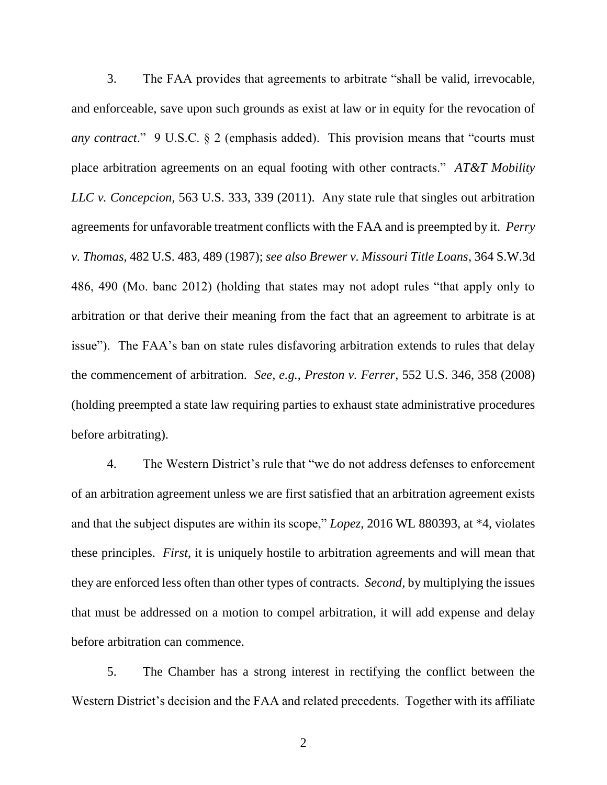3. The FAA provides that agreements to arbitrate "shall be valid, irrevocable, and enforceable, save upon such grounds as exist at law or in equity for the revocation of *any contract*." 9 U.S.C. § 2 (emphasis added). This provision means that "courts must place arbitration agreements on an equal footing with other contracts." *AT&T Mobility LLC v. Concepcion*, 563 U.S. 333, 339 (2011). Any state rule that singles out arbitration agreements for unfavorable treatment conflicts with the FAA and is preempted by it. *Perry v. Thomas*, 482 U.S. 483, 489 (1987); *see also Brewer v. Missouri Title Loans*, 364 S.W.3d 486, 490 (Mo. banc 2012) (holding that states may not adopt rules "that apply only to arbitration or that derive their meaning from the fact that an agreement to arbitrate is at issue"). The FAA's ban on state rules disfavoring arbitration extends to rules that delay the commencement of arbitration. *See, e.g.*, *Preston v. Ferrer*, 552 U.S. 346, 358 (2008) (holding preempted a state law requiring parties to exhaust state administrative procedures before arbitrating).

4. The Western District's rule that "we do not address defenses to enforcement of an arbitration agreement unless we are first satisfied that an arbitration agreement exists and that the subject disputes are within its scope," *Lopez*, 2016 WL 880393, at \*4, violates these principles. *First*, it is uniquely hostile to arbitration agreements and will mean that they are enforced less often than other types of contracts. *Second*, by multiplying the issues that must be addressed on a motion to compel arbitration, it will add expense and delay before arbitration can commence.

5. The Chamber has a strong interest in rectifying the conflict between the Western District's decision and the FAA and related precedents. Together with its affiliate

2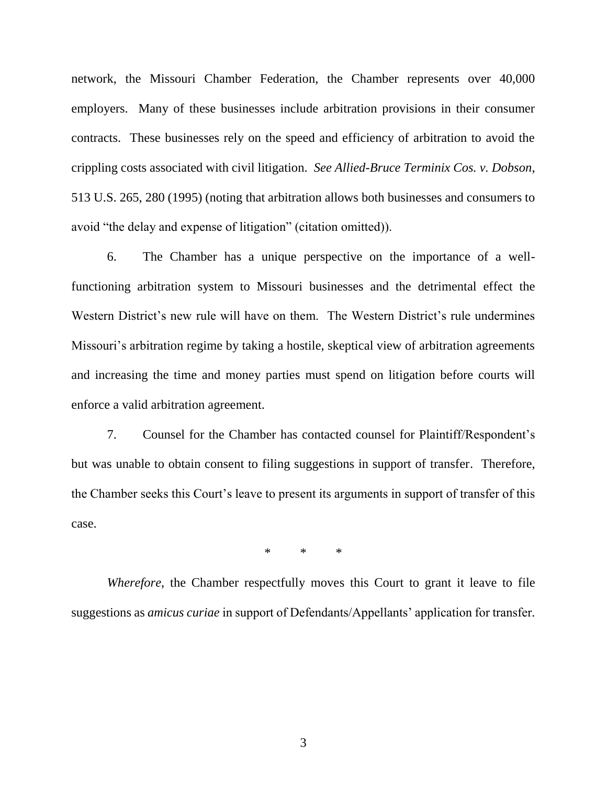network, the Missouri Chamber Federation, the Chamber represents over 40,000 employers. Many of these businesses include arbitration provisions in their consumer contracts. These businesses rely on the speed and efficiency of arbitration to avoid the crippling costs associated with civil litigation. *See Allied-Bruce Terminix Cos. v. Dobson*, 513 U.S. 265, 280 (1995) (noting that arbitration allows both businesses and consumers to avoid "the delay and expense of litigation" (citation omitted)).

6. The Chamber has a unique perspective on the importance of a wellfunctioning arbitration system to Missouri businesses and the detrimental effect the Western District's new rule will have on them. The Western District's rule undermines Missouri's arbitration regime by taking a hostile, skeptical view of arbitration agreements and increasing the time and money parties must spend on litigation before courts will enforce a valid arbitration agreement.

7. Counsel for the Chamber has contacted counsel for Plaintiff/Respondent's but was unable to obtain consent to filing suggestions in support of transfer. Therefore, the Chamber seeks this Court's leave to present its arguments in support of transfer of this case.

\* \* \*

*Wherefore*, the Chamber respectfully moves this Court to grant it leave to file suggestions as *amicus curiae* in support of Defendants/Appellants' application for transfer*.*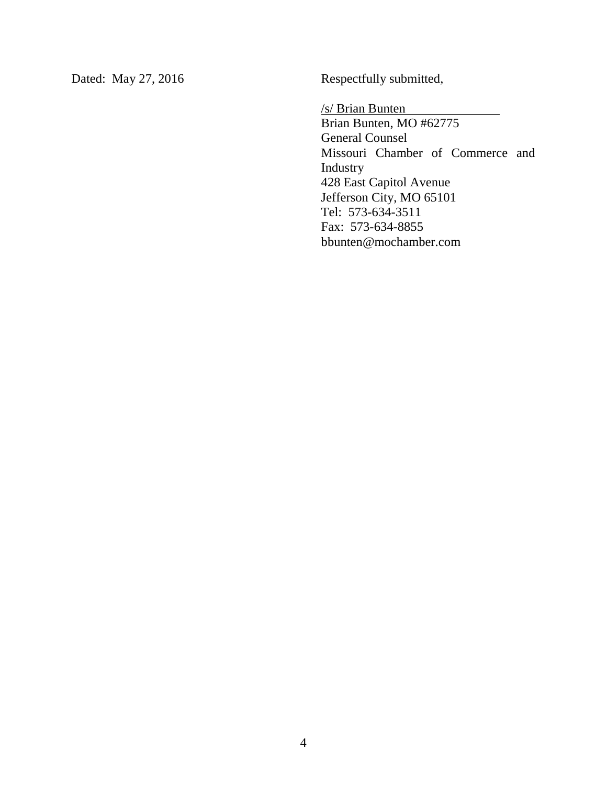Dated: May 27, 2016 Respectfully submitted,

/s/ Brian Bunten

Brian Bunten, MO #62775 General Counsel Missouri Chamber of Commerce and Industry 428 East Capitol Avenue Jefferson City, MO 65101 Tel: 573-634-3511 Fax: 573-634-8855 bbunten@mochamber.com